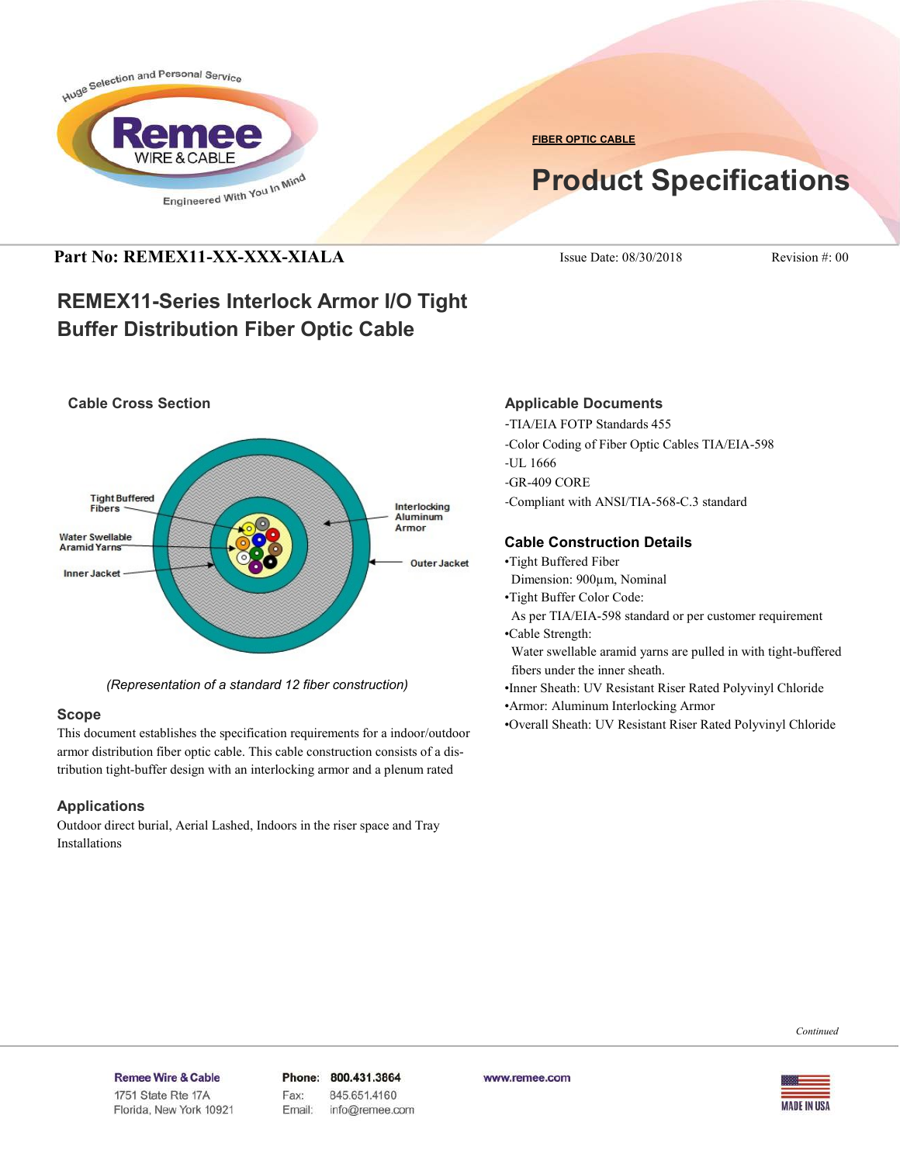

**FIBER OPTIC CABLE**

# **Product Specifications**

## **Part No: REMEX11-XX-XXX-XIALA** Issue Date: 08/30/2018 Revision #: 00

## **REMEX11-Series Interlock Armor I/O Tight Buffer Distribution Fiber Optic Cable**



*(Representation of a standard 12 fiber construction)*

#### **Scope**

This document establishes the specification requirements for a indoor/outdoor armor distribution fiber optic cable. This cable construction consists of a distribution tight-buffer design with an interlocking armor and a plenum rated

#### **Applications**

Outdoor direct burial, Aerial Lashed, Indoors in the riser space and Tray Installations

#### **Applicable Documents**

-TIA/EIA FOTP Standards 455 -Color Coding of Fiber Optic Cables TIA/EIA-598 -UL 1666 -GR-409 CORE -Compliant with ANSI/TIA-568-C.3 standard

### **Cable Construction Details**

- •Tight Buffered Fiber
- Dimension: 900µm, Nominal
- •Tight Buffer Color Code:
- As per TIA/EIA-598 standard or per customer requirement •Cable Strength:

 Water swellable aramid yarns are pulled in with tight-buffered fibers under the inner sheath.

- •Inner Sheath: UV Resistant Riser Rated Polyvinyl Chloride
- •Armor: Aluminum Interlocking Armor
- •Overall Sheath: UV Resistant Riser Rated Polyvinyl Chloride

*Continued*

#### Remee Wire & Cable Issue No.: 05

Florida, New York 10921

Phone: 800.431.3864 Fax: 845.651.4160 Email: info@remee.com www.remee.com

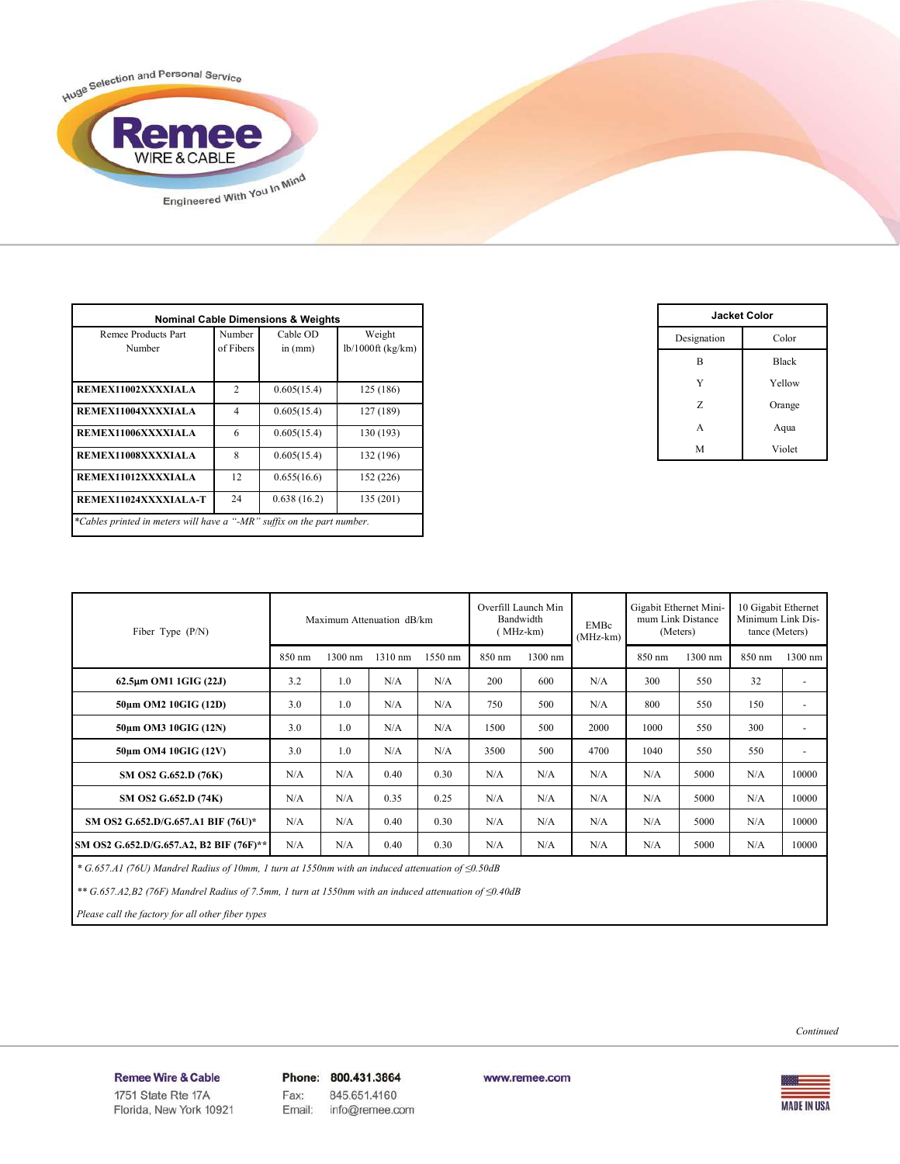

| Remee Products Part<br>Number | Number<br>of Fibers | Cable OD<br>in $(mm)$ | Weight<br>$lb/1000ft$ (kg/km) |
|-------------------------------|---------------------|-----------------------|-------------------------------|
| REMEX11002XXXXIALA            | $\mathcal{D}$       | 0.605(15.4)           | 125 (186)                     |
| REMEX11004XXXXIALA            | $\overline{4}$      | 0.605(15.4)           | 127 (189)                     |
| REMEX11006XXXXIALA            | 6                   | 0.605(15.4)           | 130 (193)                     |
| REMEX11008XXXXIALA            | $\mathbf{8}$        | 0.605(15.4)           | 132 (196)                     |
| REMEX11012XXXXIALA            | 12                  | 0.655(16.6)           | 152 (226)                     |
| REMEX11024XXXXIALA-T          | 24                  | 0.638(16.2)           | 135 (201)                     |

| <b>Jacket Color</b> |              |  |  |  |
|---------------------|--------------|--|--|--|
| Designation         | Color        |  |  |  |
| B                   | <b>Black</b> |  |  |  |
| Y                   | Yellow       |  |  |  |
| Z                   | Orange       |  |  |  |
| A                   | Aqua         |  |  |  |
| M                   | Violet       |  |  |  |

| Maximum Attenuation dB/km<br>Fiber Type $(P/N)$ |        |         |         | Overfill Launch Min<br>Bandwidth<br>(MHz-km) |        | <b>EMBc</b><br>$(MHz-km)$ | Gigabit Ethernet Mini-<br>mum Link Distance<br>(Meters) |        | 10 Gigabit Ethernet<br>Minimum Link Dis-<br>tance (Meters) |        |                          |
|-------------------------------------------------|--------|---------|---------|----------------------------------------------|--------|---------------------------|---------------------------------------------------------|--------|------------------------------------------------------------|--------|--------------------------|
|                                                 | 850 nm | 1300 nm | 1310 nm | 1550 nm                                      | 850 nm | 1300 nm                   |                                                         | 850 nm | 1300 nm                                                    | 850 nm | $1300$ nm                |
| $62.5\mu m$ OM1 1GIG (22J)                      | 3.2    | 1.0     | N/A     | N/A                                          | 200    | 600                       | N/A                                                     | 300    | 550                                                        | 32     | $\overline{a}$           |
| 50um OM2 10GIG (12D)                            | 3.0    | 1.0     | N/A     | N/A                                          | 750    | 500                       | N/A                                                     | 800    | 550                                                        | 150    | $\overline{\phantom{a}}$ |
| 50um OM3 10GIG (12N)                            | 3.0    | 1.0     | N/A     | N/A                                          | 1500   | 500                       | 2000                                                    | 1000   | 550                                                        | 300    | $\overline{\phantom{a}}$ |
| 50um OM4 10GIG (12V)                            | 3.0    | 1.0     | N/A     | N/A                                          | 3500   | 500                       | 4700                                                    | 1040   | 550                                                        | 550    | ٠                        |
| SM OS2 G.652.D (76K)                            | N/A    | N/A     | 0.40    | 0.30                                         | N/A    | N/A                       | N/A                                                     | N/A    | 5000                                                       | N/A    | 10000                    |
| SM OS2 G.652.D (74K)                            | N/A    | N/A     | 0.35    | 0.25                                         | N/A    | N/A                       | N/A                                                     | N/A    | 5000                                                       | N/A    | 10000                    |
| SM OS2 G.652.D/G.657.A1 BIF (76U)*              | N/A    | N/A     | 0.40    | 0.30                                         | N/A    | N/A                       | N/A                                                     | N/A    | 5000                                                       | N/A    | 10000                    |
| SM OS2 G.652.D/G.657.A2, B2 BIF (76F)**         | N/A    | N/A     | 0.40    | 0.30                                         | N/A    | N/A                       | N/A                                                     | N/A    | 5000                                                       | N/A    | 10000                    |

 *\* G.657.A1 (76U) Mandrel Radius of 10mm, 1 turn at 1550nm with an induced attenuation of ≤0.50dB*

 *\*\* G.657.A2,B2 (76F) Mandrel Radius of 7.5mm, 1 turn at 1550nm with an induced attenuation of ≤0.40dB*

 *Please call the factory for all other fiber types*

*Continued*

#### Remee Wire & Cable Issue No.: 05

Florida, New York 10921

Phone: 800.431.3864 Fax: 845.651.4160 info@remee.com Email:

www.remee.com